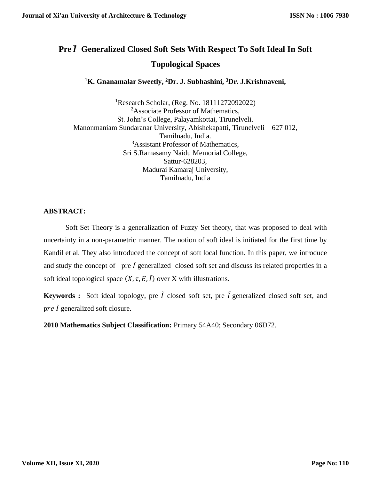# **Pre** ̃ **Generalized Closed Soft Sets With Respect To Soft Ideal In Soft Topological Spaces**

<sup>1</sup>**K. Gnanamalar Sweetly, <sup>2</sup>Dr. J. Subhashini, <sup>3</sup>Dr. J.Krishnaveni,**

<sup>1</sup>Research Scholar, (Reg. No. 18111272092022) <sup>2</sup>Associate Professor of Mathematics, St. John's College, Palayamkottai, Tirunelveli. Manonmaniam Sundaranar University, Abishekapatti, Tirunelveli – 627 012, Tamilnadu, India. <sup>3</sup>Assistant Professor of Mathematics, Sri S.Ramasamy Naidu Memorial College, Sattur-628203, Madurai Kamaraj University, Tamilnadu, India

### **ABSTRACT:**

Soft Set Theory is a generalization of Fuzzy Set theory, that was proposed to deal with uncertainty in a non-parametric manner. The notion of soft ideal is initiated for the first time by Kandil et al. They also introduced the concept of soft local function. In this paper, we introduce and study the concept of pre  $\tilde{I}$  generalized closed soft set and discuss its related properties in a soft ideal topological space  $(X, \tau, E, \tilde{I})$  over X with illustrations.

**Keywords :** Soft ideal topology, pre  $\tilde{I}$  closed soft set, pre  $\tilde{I}$  generalized closed soft set, and pre  $\tilde{I}$  generalized soft closure.

**2010 Mathematics Subject Classification:** Primary 54A40; Secondary 06D72.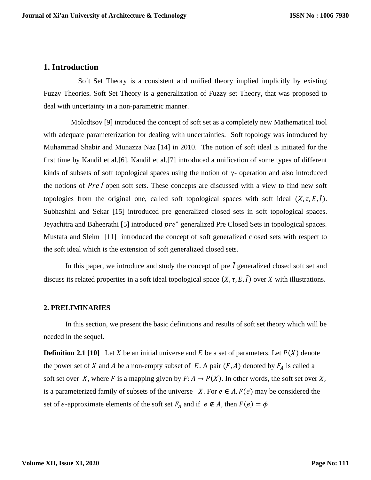#### **1. Introduction**

 Soft Set Theory is a consistent and unified theory implied implicitly by existing Fuzzy Theories. Soft Set Theory is a generalization of Fuzzy set Theory, that was proposed to deal with uncertainty in a non-parametric manner.

 Molodtsov [9] introduced the concept of soft set as a completely new Mathematical tool with adequate parameterization for dealing with uncertainties. Soft topology was introduced by Muhammad Shabir and Munazza Naz [14] in 2010. The notion of soft ideal is initiated for the first time by Kandil et al.[6]. Kandil et al.[7] introduced a unification of some types of different kinds of subsets of soft topological spaces using the notion of  $\gamma$ - operation and also introduced the notions of Pre  $\tilde{l}$  open soft sets. These concepts are discussed with a view to find new soft topologies from the original one, called soft topological spaces with soft ideal  $(X, \tau, E, \tilde{I})$ . Subhashini and Sekar [15] introduced pre generalized closed sets in soft topological spaces. Jeyachitra and Baheerathi [5] introduced pre<sup>\*</sup> generalized Pre Closed Sets in topological spaces. Mustafa and Sleim [11] introduced the concept of soft generalized closed sets with respect to the soft ideal which is the extension of soft generalized closed sets.

In this paper, we introduce and study the concept of pre  $\tilde{I}$  generalized closed soft set and discuss its related properties in a soft ideal topological space  $(X, \tau, E, \tilde{I})$  over X with illustrations.

#### **2. PRELIMINARIES**

In this section, we present the basic definitions and results of soft set theory which will be needed in the sequel.

**Definition 2.1 [10]** Let X be an initial universe and E be a set of parameters. Let  $P(X)$  denote the power set of X and A be a non-empty subset of E. A pair  $(F, A)$  denoted by  $F_A$  is called a soft set over X, where F is a mapping given by  $F: A \to P(X)$ . In other words, the soft set over X, is a parameterized family of subsets of the universe  $X$ . For  $e \in A$ ,  $F(e)$  may be considered the set of e-approximate elements of the soft set  $F_A$  and if  $e \notin A$ , then  $F(e) = \phi$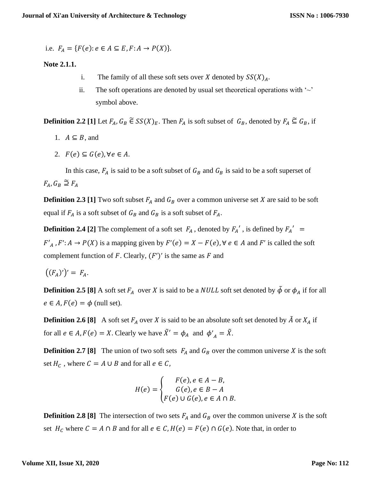i.e. 
$$
F_A = \{F(e): e \in A \subseteq E, F: A \rightarrow P(X)\}.
$$

#### **Note 2.1.1.**

- i. The family of all these soft sets over X denoted by  $SS(X)<sub>A</sub>$ .
- ii. The soft operations are denoted by usual set theoretical operations with  $\sim$ symbol above.

**Definition 2.2** [1] Let  $F_A$ ,  $G_B \in SS(X)_E$ . Then  $F_A$  is soft subset of  $G_B$ , denoted by  $F_A \subseteq G_B$ , if

- 1.  $A \subseteq B$ , and
- 2.  $F(e) \subseteq G(e)$ ,  $\forall e \in A$ .

In this case,  $F_A$  is said to be a soft subset of  $G_B$  and  $G_B$  is said to be a soft superset of  $F_A, G_B \supseteq F_A$ 

**Definition 2.3 [1]** Two soft subset  $F_A$  and  $G_B$  over a common universe set X are said to be soft equal if  $F_A$  is a soft subset of  $G_B$  and  $G_B$  is a soft subset of  $F_A$ .

**Definition 2.4 [2]** The complement of a soft set  $F_A$ , denoted by  $F_A'$ , is defined by  $F_A' =$  $F'_{A}$ ,  $F' : A \rightarrow P(X)$  is a mapping given by  $F'(e) = X - F(e)$ ,  $\forall e \in A$  and  $F'$  is called the soft complement function of F. Clearly,  $(F')'$  is the same as F and

 $((F_A)')' = F_A.$ 

**Definition 2.5 [8]** A soft set  $F_A$  over X is said to be a *NULL* soft set denoted by  $\tilde{\phi}$  or  $\phi_A$  if for all  $e \in A$ ,  $F(e) = \phi$  (null set).

**Definition 2.6 [8]** A soft set  $F_A$  over X is said to be an absolute soft set denoted by  $\tilde{A}$  or  $X_A$  if for all  $e \in A$ ,  $F(e) = X$ . Clearly we have  $\tilde{X}' = \phi_A$  and  $\phi'_{A} = \tilde{X}$ .

**Definition 2.7 [8]** The union of two soft sets  $F_A$  and  $G_B$  over the common universe X is the soft set  $H_c$ , where  $C = A \cup B$  and for all  $e \in C$ ,

$$
H(e) = \begin{cases} F(e), e \in A - B, \\ G(e), e \in B - A \\ F(e) \cup G(e), e \in A \cap B. \end{cases}
$$

**Definition 2.8 [8]** The intersection of two sets  $F_A$  and  $G_B$  over the common universe X is the soft set  $H_c$  where  $C = A \cap B$  and for all  $e \in C$ ,  $H(e) = F(e) \cap G(e)$ . Note that, in order to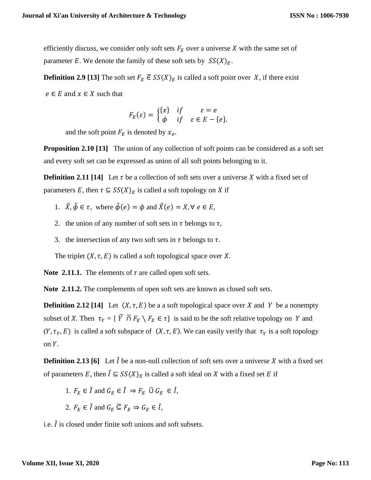efficiently discuss, we consider only soft sets  $F_E$  over a universe X with the same set of parameter E. We denote the family of these soft sets by  $SS(X)<sub>E</sub>$ .

**Definition 2.9 [13]** The soft set  $F_E \in SS(X)_E$  is called a soft point over X, if there exist

 $e \in E$  and  $x \in X$  such that

$$
F_E(\varepsilon) = \begin{cases} \{x\} & \text{if } \varepsilon = e \\ \phi & \text{if } \varepsilon \in E - \{e\}. \end{cases}
$$

and the soft point  $F_E$  is denoted by  $x_e$ .

**Proposition 2.10 [13]** The union of any collection of soft points can be considered as a soft set and every soft set can be expressed as union of all soft points belonging to it.

**Definition 2.11 [14]** Let  $\tau$  be a collection of soft sets over a universe X with a fixed set of parameters E, then  $\tau \subseteq SS(X)_E$  is called a soft topology on X if

- 1.  $\tilde{X}, \tilde{\phi} \in \tau$ , where  $\tilde{\phi}(e) = \phi$  and  $\tilde{X}(e) = X, \forall e \in E$ ,
- 2. the union of any number of soft sets in  $\tau$  belongs to  $\tau$ ,
- 3. the intersection of any two soft sets in  $\tau$  belongs to  $\tau$ .

The triplet  $(X, \tau, E)$  is called a soft topological space over X.

**Note 2.11.1.** The elements of  $\tau$  are called open soft sets.

**Note 2.11.2.** The complements of open soft sets are known as closed soft sets.

**Definition 2.12 [14]** Let  $(X, \tau, E)$  be a a soft topological space over X and Y be a nonempty subset of X. Then  $\tau_Y = \{ \tilde{Y} \tilde{\cap} F_E \setminus F_E \in \tau \}$  is said to be the soft relative topology on Y and  $(Y, \tau_Y, E)$  is called a soft subspace of  $(X, \tau, E)$ . We can easily verify that  $\tau_Y$  is a soft topology on  $Y$ .

**Definition 2.13 [6]** Let  $\tilde{l}$  be a non-null collection of soft sets over a universe X with a fixed set of parameters E, then  $\tilde{I} \subseteq SS(X)_E$  is called a soft ideal on X with a fixed set E if

- 1.  $F_F \in \tilde{I}$  and  $G_F \in \tilde{I} \Rightarrow F_F \tilde{U} G_F \in \tilde{I}$ ,
- 2.  $F_F \in \tilde{I}$  and  $G_F \subseteq F_F \Rightarrow G_F \in \tilde{I}$ ,

i.e.  $\tilde{l}$  is closed under finite soft unions and soft subsets.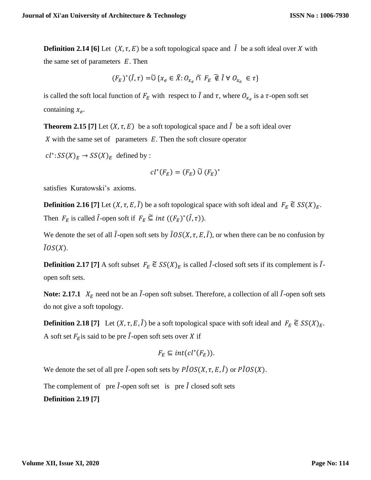**Definition 2.14 [6]** Let  $(X, \tau, E)$  be a soft topological space and  $\tilde{I}$  be a soft ideal over X with the same set of parameters  $E$ . Then

$$
(F_E)^*(\tilde{I}, \tau) = \tilde{U} \{x_e \in \tilde{X}: O_{x_e} \cap F_E \widetilde{\notin} \tilde{I} \ \forall \ O_{x_e} \in \tau\}
$$

is called the soft local function of  $F_E$  with respect to  $\tilde{I}$  and  $\tau$ , where  $O_{\chi_e}$  is a  $\tau$ -open soft set containing  $x_e$ .

**Theorem 2.15** [7] Let  $(X, \tau, E)$  be a soft topological space and  $\tilde{I}$  be a soft ideal over  $X$  with the same set of parameters  $E$ . Then the soft closure operator

 $cl^*: SS(X)_E \to SS(X)_E$  defined by :

$$
cl^*(F_E)=(F_E)\,\widetilde{\cup}\,(F_E)^*
$$

satisfies Kuratowski's axioms.

**Definition 2.16** [7] Let  $(X, \tau, E, \tilde{I})$  be a soft topological space with soft ideal and  $F_E \tilde{\in} SS(X)_E$ . Then  $F_E$  is called  $\tilde{I}$ -open soft if  $F_E \subseteq int ((F_E)^*(\tilde{I}, \tau))$ .

We denote the set of all  $\tilde{I}$ -open soft sets by  $\tilde{I}OS(X, \tau, E, \tilde{I})$ , or when there can be no confusion by  $\tilde{I}OS(X)$ .

**Definition 2.17** [7] A soft subset  $F_E \in SS(X)_E$  is called  $\tilde{I}$ -closed soft sets if its complement is  $\tilde{I}$ open soft sets.

**Note: 2.17.1**  $X_E$  need not be an  $\tilde{I}$ -open soft subset. Therefore, a collection of all  $\tilde{I}$ -open soft sets do not give a soft topology.

**Definition 2.18** [7] Let  $(X, \tau, E, \tilde{I})$  be a soft topological space with soft ideal and  $F_E \in SS(X)_E$ . A soft set  $F<sub>E</sub>$  is said to be pre  $\tilde{I}$ -open soft sets over X if

$$
F_E \subseteq int(cl^*(F_E)).
$$

We denote the set of all pre  $\tilde{I}$ -open soft sets by  $\tilde{PIOS}(X, \tau, E, \tilde{I})$  or  $\tilde{PIOS}(X)$ .

The complement of pre  $\tilde{l}$ -open soft set is pre  $\tilde{l}$  closed soft sets **Definition 2.19 [7]**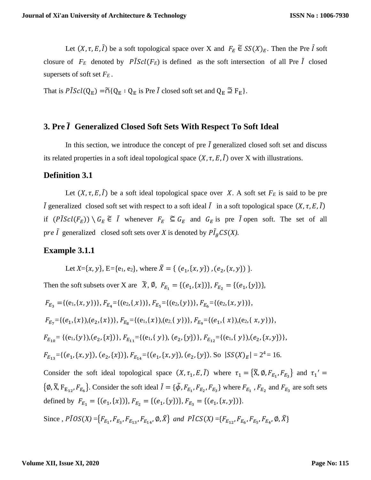Let  $(X, \tau, E, \tilde{I})$  be a soft topological space over X and  $F_E \tilde{\in} SS(X)_{E}$ . Then the Pre  $\tilde{I}$  soft closure of  $F_E$  denoted by  $\tilde{P}[\text{Scl}(F_E)]$  is defined as the soft intersection of all Pre  $\tilde{I}$  closed supersets of soft set *F<sup>E</sup>* .

That is  $\tilde{PI}Scl(Q_E) = \tilde{\cap} \{Q_E : Q_E \text{ is Pre } I \text{ closed soft set and } Q_E \supseteqeq F_E \}.$ 

## **3. Pre** ̃ **Generalized Closed Soft Sets With Respect To Soft Ideal**

In this section, we introduce the concept of pre  $\tilde{I}$  generalized closed soft set and discuss its related properties in a soft ideal topological space  $(X, \tau, E, \tilde{I})$  over X with illustrations.

#### **Definition 3.1**

Let  $(X, \tau, E, \tilde{I})$  be a soft ideal topological space over X. A soft set  $F_E$  is said to be pre  $\tilde{I}$  generalized closed soft set with respect to a soft ideal  $\tilde{I}$  in a soft topological space  $(X, \tau, E, \tilde{I})$ if  $(P\tilde{I}Scl(F_E)) \setminus G_E \tilde{\epsilon}$   $\tilde{I}$  whenever  $F_E \tilde{\epsilon} G_E$  and  $G_E$  is pre  $\tilde{I}$  open soft. The set of all pre  $\tilde{I}$  generalized closed soft sets over *X* is denoted by  $P\tilde{I}_gCS(X)$ .

#### **Example 3.1.1**

Let *X*={*x*, *y*}, E={e<sub>1</sub>, e<sub>2</sub>}, where  $\tilde{X} = \{ (e_1, \{x, y\}) , (e_2, \{x, y\}) \}$ .

Then the soft subsets over X are  $\tilde{X}, \emptyset, F_{E_1} = \{(e_1, \{x\})\}, F_{E_2} = \{(e_1, \{y\})\},$ 

$$
F_{E_3} = \{(e_1, \{x, y\})\}, F_{E_4} = \{(e_2, \{x\})\}, F_{E_5} = \{(e_2, \{y\})\}, F_{E_6} = \{(e_2, \{x, y\})\},
$$
\n
$$
F_{E_7} = \{(e_1, \{x\}), (e_2, \{x\})\}, F_{E_8} = \{(e_1, \{x\}), (e_2, \{y\})\}, F_{E_9} = \{(e_1, \{x\}), (e_2, \{x, y\})\},
$$
\n
$$
F_{E_{10}} = \{(e_1, \{y\}), (e_2, \{x\})\}, F_{E_{11}} = \{(e_1, \{y\}), (e_2, \{y\})\}, F_{E_{12}} = \{(e_1, \{y\}), (e_2, \{x, y\})\},
$$
\n
$$
F_{E_{13}} = \{(e_1, \{x, y\}), (e_2, \{x\})\}, F_{E_{14}} = \{(e_1, \{x, y\}), (e_2, \{y\})\}.
$$
\nSo  $|SS(X)_E| = 2^4 = 16$ .  
\nConsider the soft ideal topological space  $(X, \tau_1, E, \tilde{I})$  where  $\tau_1 = \{\tilde{X}, \emptyset, F_{E_1}, F_{E_3}\}$  and  $\tau_1' = \{\emptyset, \tilde{Y}, F_{E_7} = F_{E_7}\}$  converges to the same set is the set of ideal.

 $\{\emptyset, \tilde{X}, F_{E_{12}}, F_{E_6}\}.$  Consider the soft ideal  $\tilde{I} = \{\tilde{\phi}, F_{E_1}, F_{E_2}, F_{E_3}\}\$  where  $F_{E_1}$ ,  $F_{E_2}$  and  $F_{E_3}$  are soft sets defined by  $F_{E_1} = \{(e_1, \{x\})\}, F_{E_2} = \{(e_1, \{y\})\}, F_{E_3} = \{(e_1, \{x, y\})\}.$ 

Since ,  $\tilde{PIOS}(X) = \{F_{E_1}, F_{E_3}, F_{E_{13}}, F_{E_{14}}, \emptyset, \tilde{X}\}$  and  $\tilde{PICS}(X) = \{F_{E_{12}}, F_{E_6}, F_{E_5}, F_{E_4}, \emptyset, \tilde{X}\}$ 

#### **Volume XII, Issue XI, 2020**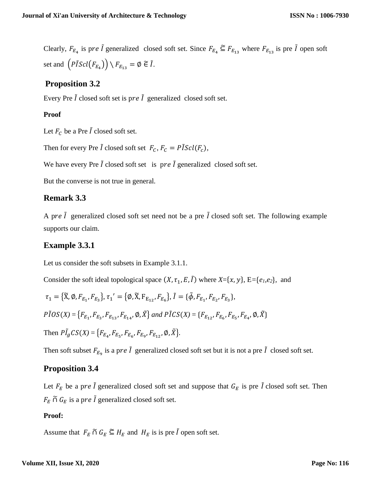Clearly,  $F_{E_4}$  is pre  $\tilde{I}$  generalized closed soft set. Since  $F_{E_4} \subseteq F_{E_{13}}$  where  $F_{E_{13}}$  is pre  $\tilde{I}$  open soft set and  $\left(P\tilde{I}Scl(F_{E_4})\right) \setminus F_{E_{13}} = \emptyset \widetilde{\in} \widetilde{I}.$ 

# **Proposition 3.2**

Every Pre  $\tilde{I}$  closed soft set is pre  $\tilde{I}$  generalized closed soft set.

### **Proof**

Let  $F_c$  be a Pre  $\tilde{I}$  closed soft set.

Then for every Pre  $\tilde{I}$  closed soft set  $F_C$ ,  $F_C = \tilde{P} \tilde{I} \tilde{S} \tilde{c} \tilde{I}$  $(F_C)$ ,

We have every Pre  $\tilde{I}$  closed soft set is pre  $\tilde{I}$  generalized closed soft set.

But the converse is not true in general.

# **Remark 3.3**

A pre  $\tilde{I}$  generalized closed soft set need not be a pre  $\tilde{I}$  closed soft set. The following example supports our claim.

# **Example 3.3.1**

Let us consider the soft subsets in Example 3.1.1.

Consider the soft ideal topological space  $(X, \tau_1, E, \tilde{I})$  where  $X = \{x, y\}$ ,  $E = \{e_1, e_2\}$ , and

$$
\tau_1 = \{ \tilde{X}, \emptyset, F_{E_1}, F_{E_3} \}, \tau_1' = \{ \emptyset, \tilde{X}, F_{E_{12}}, F_{E_6} \}, \tilde{I} = \{ \tilde{\phi}, F_{E_1}, F_{E_2}, F_{E_3} \},
$$
  
\n
$$
P\tilde{I}OS(X) = \{ F_{E_1}, F_{E_3}, F_{E_{13}}, F_{E_{14}}, \emptyset, \tilde{X} \} \text{ and } P\tilde{I}CS(X) = \{ F_{E_{12}}, F_{E_6}, F_{E_5}, F_{E_4}, \emptyset, \tilde{X} \}
$$
  
\nThen  $P\tilde{I}_gCS(X) = \{ F_{E_4}, F_{E_5}, F_{E_6}, F_{E_9}, F_{E_{12}}, \emptyset, \tilde{X} \}.$ 

Then soft subset  $F_{E_9}$  is a pre  $\tilde{I}$  generalized closed soft set but it is not a pre  $\tilde{I}$  closed soft set.

# **Proposition 3.4**

Let  $F_E$  be a pre  $\tilde{I}$  generalized closed soft set and suppose that  $G_E$  is pre  $\tilde{I}$  closed soft set. Then  $F_E \cap G_E$  is a pre  $\tilde{I}$  generalized closed soft set.

### **Proof:**

Assume that  $F_E \cap G_E \subseteq H_E$  and  $H_E$  is is pre  $\tilde{I}$  open soft set.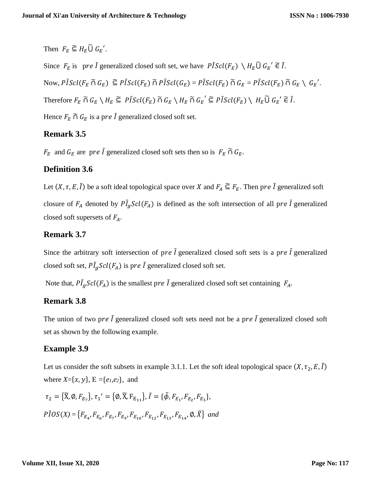Then  $F_E \subseteq H_E \widetilde{\cup} G_E'$ .

Since  $F_E$  is pre  $\tilde{I}$  generalized closed soft set, we have  $\tilde{PIScl}(F_E) \setminus H_E \widetilde{U} G_E' \widetilde{\in} \tilde{I}$ . Now,  $\tilde{PIScl}(F_E \cap G_E) \subseteq \tilde{PIScl}(F_E) \cap \tilde{PIScl}(G_E) = \tilde{PIScl}(F_E) \cap G_E = \tilde{PIScl}(F_E) \cap G_E \setminus G_E'.$ Therefore  $F_E \cap G_E \setminus H_E \subseteq P \tilde{I} \mathcal{S} cl(F_E) \cap G_E \setminus H_E \cap G_E' \subseteq P \tilde{I} \mathcal{S} cl(F_E) \setminus H_E \tilde{U} G_E' \in \tilde{I}$ . Hence  $F_E \cap G_E$  is a pre  $\tilde{I}$  generalized closed soft set.

# **Remark 3.5**

 $F_E$  and  $G_E$  are pre  $\tilde{I}$  generalized closed soft sets then so is  $F_E \cap G_E$ .

# **Definition 3.6**

Let  $(X, \tau, E, \tilde{I})$  be a soft ideal topological space over X and  $F_A \subseteq F_E$ . Then pre  $\tilde{I}$  generalized soft closure of  $F_A$  denoted by  $\tilde{PI}_g\mathcal{S}cl(F_A)$  is defined as the soft intersection of all pre  $\tilde{I}$  generalized closed soft supersets of  $F_A$ .

# **Remark 3.7**

Since the arbitrary soft intersection of pre  $\tilde{l}$  generalized closed soft sets is a pre  $\tilde{l}$  generalized closed soft set,  $\tilde{PI_g}Scl(F_A)$  is pre  $\tilde{I}$  generalized closed soft set.

Note that,  $P\tilde{I}_g\text{Sel}(F_A)$  is the smallest pre  $\tilde{I}$  generalized closed soft set containing  $F_A$ .

# **Remark 3.8**

The union of two pre  $\tilde{l}$  generalized closed soft sets need not be a pre  $\tilde{l}$  generalized closed soft set as shown by the following example.

### **Example 3.9**

Let us consider the soft subsets in example 3.1.1. Let the soft ideal topological space  $(X, \tau_2, E, \tilde{I})$ where  $X = \{x, y\}$ ,  $E = \{e_1, e_2\}$ , and

$$
\tau_2 = \{ \widetilde{X}, \emptyset, F_{E_7} \}, \tau_1' = \{ \emptyset, \widetilde{X}, F_{E_{11}} \}, \widetilde{I} = \{ \widetilde{\emptyset}, F_{E_1}, F_{E_2}, F_{E_3} \},
$$
  

$$
P\widetilde{I}OS(X) = \{ F_{E_4}, F_{E_6}, F_{E_7}, F_{E_9}, F_{E_{10}}, F_{E_{12}}, F_{E_{13}}, F_{E_{14}}, \emptyset, \widetilde{X} \} \text{ and}
$$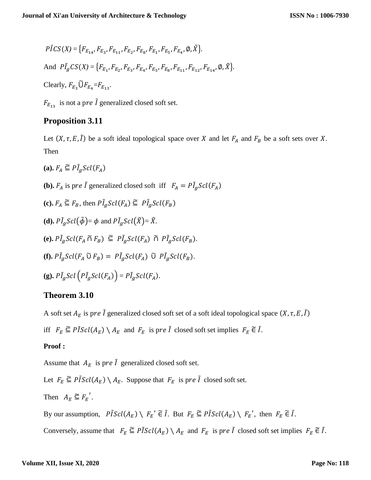$$
P\tilde{I}CS(X) = \{F_{E_{14}}, F_{E_{3}}, F_{E_{11}}, F_{E_{2}}, F_{E_{8}}, F_{E_{1}}, F_{E_{5}}, F_{E_{4}}, \emptyset, \tilde{X}\}.
$$
  
And 
$$
P\tilde{I}_{g}CS(X) = \{F_{E_{1}}, F_{E_{2}}, F_{E_{3}}, F_{E_{4}}, F_{E_{5}}, F_{E_{8}}, F_{E_{11}}, F_{E_{12}}, F_{E_{14}}, \emptyset, \tilde{X}\}.
$$
  
Clearly,  $F_{E_{3}} \tilde{U}F_{E_{4}} = F_{E_{13}}.$ 

 $F_{E_{13}}$  is not a pre  $\tilde{I}$  generalized closed soft set.

# **Proposition 3.11**

Let  $(X, \tau, E, \tilde{I})$  be a soft ideal topological space over X and let  $F_A$  and  $F_B$  be a soft sets over X. Then

- (a).  $F_A \subseteq P\tilde{I}_gScl(F_A)$
- **(b).**  $F_A$  is pre  $\tilde{I}$  generalized closed soft iff  $F_A = P \tilde{I}_g Scl(F_A)$
- **(c).**  $F_A \subseteq F_B$ , then  $P\tilde{I}_g\mathcal{S}cl(F_A) \subseteq P\tilde{I}_g\mathcal{S}cl(F_B)$
- **(d).**  $P\tilde{I}_g\mathcal{S}cl(\tilde{\phi}) = \phi$  and  $P\tilde{I}_g\mathcal{S}cl(\tilde{X}) = \tilde{X}$ .
- $(e)$ .  $P\tilde{I}_g\mathcal{S}cl(F_A \cap F_B) \subseteq P\tilde{I}_g\mathcal{S}cl(F_A) \cap P\tilde{I}_g\mathcal{S}cl(F_B).$
- **(f).**  $P\tilde{I}_gScl(F_A \tilde{\cup} F_B) = P\tilde{I}_gScl(F_A) \tilde{\cup} P\tilde{I}_gScl(F_B).$
- **(g).**  $P\tilde{I}_g\text{Scl}(P\tilde{I}_g\text{Scl}(F_A)) = P\tilde{I}_g\text{Scl}(F_A)$ .

# **Theorem 3.10**

A soft set  $A_F$  is pre  $\tilde{I}$  generalized closed soft set of a soft ideal topological space  $(X, \tau, E, \tilde{I})$ 

iff  $F_E \subseteq P \tilde{I} \text{Scl}(A_E) \setminus A_E$  and  $F_E$  is pre  $\tilde{I}$  closed soft set implies  $F_E \in \tilde{I}$ .

### **Proof :**

Assume that  $A_E$  is pre  $\tilde{I}$  generalized closed soft set.

Let  $F_E \subseteq P\tilde{I}Scl(A_E) \setminus A_E$ . Suppose that  $F_E$  is pre  $\tilde{I}$  closed soft set.

Then 
$$
A_E \subseteq F_E'
$$
.

By our assumption,  $\tilde{PIScl}(A_E) \setminus F_E' \tilde{\in} \tilde{I}$ . But  $F_E \tilde{\subseteq} \tilde{PIScl}(A_E) \setminus F_E'$ , then  $F_E \tilde{\in} \tilde{I}$ .

Conversely, assume that  $F_E \subseteq P \tilde{I} \text{Scl}(A_E) \setminus A_E$  and  $F_E$  is pre  $\tilde{I}$  closed soft set implies  $F_E \in \tilde{I}$ .

#### **Volume XII, Issue XI, 2020**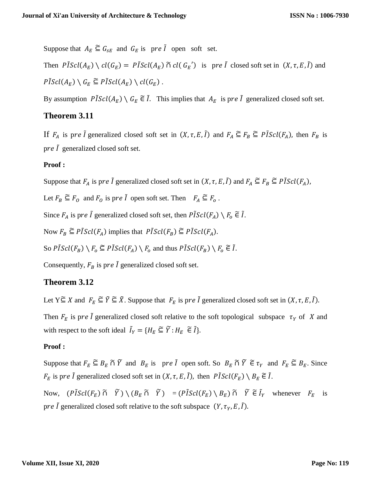Suppose that  $A_E \subseteq G_{sE}$  and  $G_E$  is pre  $\tilde{I}$  open soft set.

Then  $\tilde{PIS}cl(A_E) \setminus cl(G_E) = \tilde{PIS}cl(A_E) \cap cl(G_E')$  is pre  $\tilde{I}$  closed soft set in  $(X, \tau, E, \tilde{I})$  and  $\tilde{PIScl}(A_E) \setminus G_E \subseteq \tilde{PIScl}(A_E) \setminus cl(G_E)$ .

By assumption  $\tilde{PIScl}(A_E) \setminus G_E \tilde{\in} \tilde{I}$ . This implies that  $A_E$  is pre  $\tilde{I}$  generalized closed soft set.

# **Theorem 3.11**

If  $F_A$  is pre  $\tilde{I}$  generalized closed soft set in  $(X, \tau, E, \tilde{I})$  and  $F_A \subseteq F_B \subseteq P \tilde{I} \text{Scl}(F_A)$ , then  $F_B$  is pre  $\tilde{l}$  generalized closed soft set.

## **Proof :**

Suppose that  $F_A$  is pre  $\tilde{I}$  generalized closed soft set in  $(X, \tau, E, \tilde{I})$  and  $F_A \subseteq F_B \subseteq P \tilde{I} \text{Scl}(F_A)$ ,

Let  $F_B \subseteq F_O$  and  $F_O$  is pre  $\tilde{I}$  open soft set. Then  $F_A \subseteq F_O$ .

Since  $F_A$  is pre  $\tilde{I}$  generalized closed soft set, then  $\tilde{PIScl}(F_A) \setminus F_o \in \tilde{I}$ .

Now  $F_B \subseteq \text{P} \tilde{\text{I}} \text{Scl}(F_A)$  implies that  $\text{P} \tilde{\text{I}} \text{Scl}(F_B) \subseteq \text{P} \tilde{\text{I}} \text{Scl}(F_A)$ .

So  $\tilde{P}[\text{Scl}(F_B) \setminus F_0 \subseteq \tilde{P}[\text{Scl}(F_A) \setminus F_0 \text{ and thus } \tilde{P}[\text{Scl}(F_B) \setminus F_0 \subseteq \tilde{I}].$ 

Consequently,  $F_B$  is pre  $\tilde{I}$  generalized closed soft set.

# **Theorem 3.12**

Let  $Y \subseteq X$  and  $F_E \subseteq \tilde{Y} \subseteq \tilde{X}$ . Suppose that  $F_E$  is pre  $\tilde{I}$  generalized closed soft set in  $(X, \tau, E, \tilde{I})$ .

Then  $F_E$  is pre  $\tilde{I}$  generalized closed soft relative to the soft topological subspace  $\tau_Y$  of X and with respect to the soft ideal  $\tilde{I}_Y = \{H_E \subseteq \tilde{Y} : H_E \in \tilde{I}\}.$ 

### **Proof :**

Suppose that  $F_E \subseteq B_E \cap \widetilde{Y}$  and  $B_E$  is pre  $\widetilde{I}$  open soft. So  $B_E \cap \widetilde{Y} \in \tau_Y$  and  $F_E \subseteq B_E$ . Since  $F_E$  is pre  $\tilde{I}$  generalized closed soft set in  $(X, \tau, E, \tilde{I})$ , then  $\tilde{PIScl}(F_E) \setminus B_E \tilde{\in} \tilde{I}$ .

Now,  $(P\tilde{I}Scl(F_E) \tilde{\cap} \tilde{Y}) \setminus (B_E \tilde{\cap} \tilde{Y}) = (P\tilde{I}Scl(F_E) \setminus B_E) \tilde{\cap} \tilde{Y} \tilde{\in} \tilde{I}_Y$  whenever  $F_E$  is pre  $\tilde{I}$  generalized closed soft relative to the soft subspace  $(Y, \tau_Y, E, \tilde{I})$ .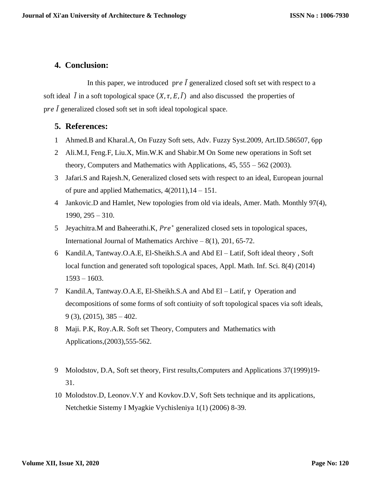# **4. Conclusion:**

In this paper, we introduced pre  $\tilde{I}$  generalized closed soft set with respect to a soft ideal  $\tilde{I}$  in a soft topological space  $(X, \tau, E, \tilde{I})$  and also discussed the properties of pre  $\tilde{I}$  generalized closed soft set in soft ideal topological space.

# **5. References:**

- 1 Ahmed.B and Kharal.A, On Fuzzy Soft sets, Adv. Fuzzy Syst.2009, Art.ID.586507, 6pp
- 2 Ali.M.I, Feng.F, Liu.X, Min.W.K and Shabir.M On Some new operations in Soft set theory, Computers and Mathematics with Applications, 45, 555 – 562 (2003).
- 3 Jafari.S and Rajesh.N, Generalized closed sets with respect to an ideal, European journal of pure and applied Mathematics,  $4(2011)$ ,  $14 - 151$ .
- 4 Jankovic.D and Hamlet, New topologies from old via ideals, Amer. Math. Monthly 97(4), 1990, 295 – 310.
- 5 Jeyachitra.M and Baheerathi.K,  $Pre^*$  generalized closed sets in topological spaces, International Journal of Mathematics Archive – 8(1), 201, 65-72.
- 6 Kandil.A, Tantway.O.A.E, El-Sheikh.S.A and Abd El Latif, Soft ideal theory , Soft local function and generated soft topological spaces, Appl. Math. Inf. Sci. 8(4) (2014) 1593 – 1603.
- 7 Kandil.A, Tantway.O.A.E, El-Sheikh.S.A and Abd El Latif, γ Operation and decompositions of some forms of soft contiuity of soft topological spaces via soft ideals,  $9$  (3), (2015), 385 – 402.
- 8 Maji. P.K, Roy.A.R. Soft set Theory, Computers and Mathematics with Applications,(2003),555-562.
- 9 Molodstov, D.A, Soft set theory, First results,Computers and Applications 37(1999)19- 31.
- 10 Molodstov.D, Leonov.V.Y and Kovkov.D.V, Soft Sets technique and its applications, Netchetkie Sistemy I Myagkie Vychisleniya 1(1) (2006) 8-39.